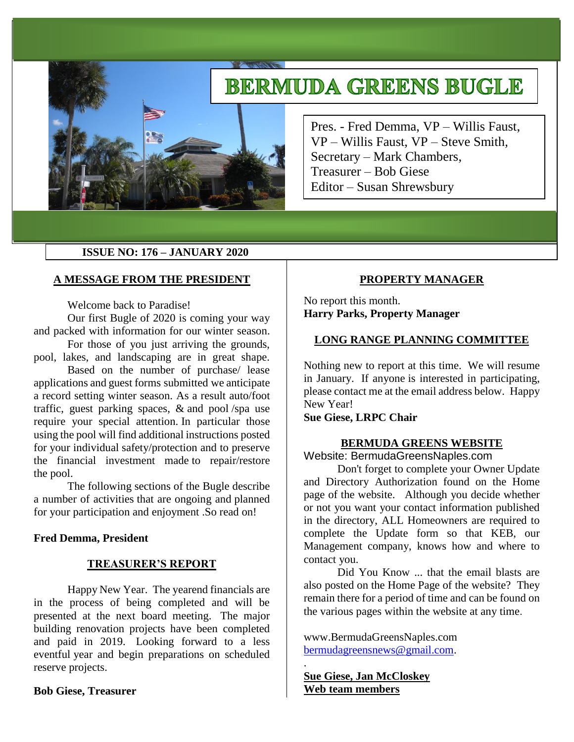# **BERMUDA GREENS BUGLE**



Pres. - Fred Demma, VP – Willis Faust, VP – Willis Faust, VP – Steve Smith, Secretary – Mark Chambers, Treasurer – Bob Giese Editor – Susan Shrewsbury

## **ISSUE NO: 176 – JANUARY 2020**

## **A MESSAGE FROM THE PRESIDENT**

Welcome back to Paradise!

Our first Bugle of 2020 is coming your way and packed with information for our winter season.

For those of you just arriving the grounds, pool, lakes, and landscaping are in great shape.

Based on the number of purchase/ lease applications and guest forms submitted we anticipate a record setting winter season. As a result auto/foot traffic, guest parking spaces, & and pool /spa use require your special attention. In particular those using the pool will find additional instructions posted for your individual safety/protection and to preserve the financial investment made to repair/restore the pool.

The following sections of the Bugle describe a number of activities that are ongoing and planned for your participation and enjoyment .So read on!

## **Fred Demma, President**

# **TREASURER'S REPORT**

Happy New Year. The yearend financials are in the process of being completed and will be presented at the next board meeting. The major building renovation projects have been completed and paid in 2019. Looking forward to a less eventful year and begin preparations on scheduled reserve projects.

## **Bob Giese, Treasurer**

# **PROPERTY MANAGER**

No report this month. **Harry Parks, Property Manager** 

## **LONG RANGE PLANNING COMMITTEE**

Nothing new to report at this time. We will resume in January. If anyone is interested in participating, please contact me at the email address below. Happy New Year!

## **Sue Giese, LRPC Chair**

## **BERMUDA GREENS WEBSITE**

Website: BermudaGreensNaples.com

Don't forget to complete your Owner Update and Directory Authorization found on the Home page of the website. Although you decide whether or not you want your contact information published in the directory, ALL Homeowners are required to complete the Update form so that KEB, our Management company, knows how and where to contact you.

Did You Know ... that the email blasts are also posted on the Home Page of the website? They remain there for a period of time and can be found on the various pages within the website at any time.

www.BermudaGreensNaples.com [bermudagreensnews@gmail.com.](mailto:bermudagreensnews@gmail.com)

**Sue Giese, Jan McCloskey Web team members**

.